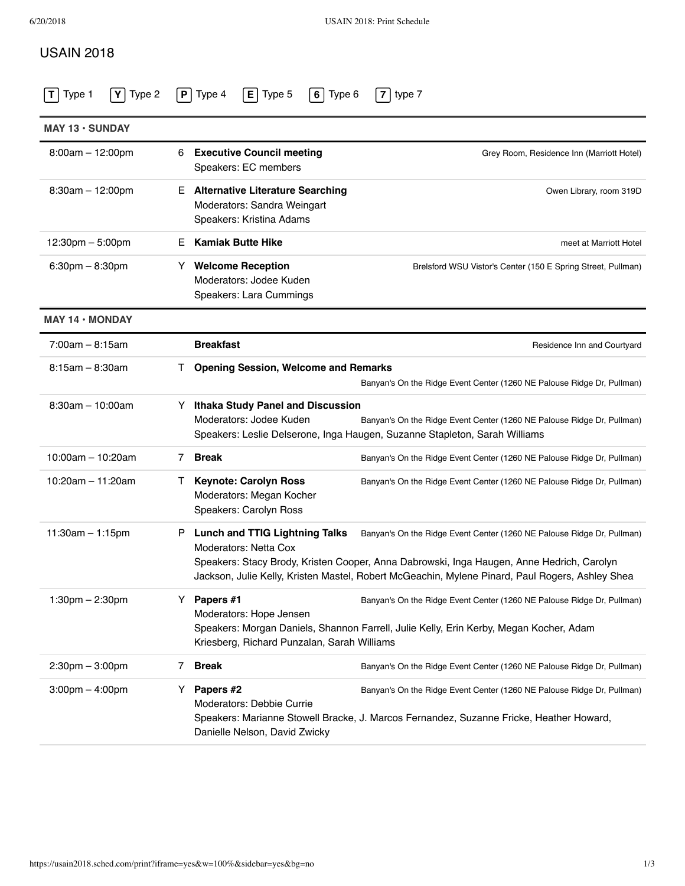## USAIN 2018

| <b>MAY 13 · SUNDAY</b>            |                                                                                                          |                                                                                                                                                                                                                                                                        |  |
|-----------------------------------|----------------------------------------------------------------------------------------------------------|------------------------------------------------------------------------------------------------------------------------------------------------------------------------------------------------------------------------------------------------------------------------|--|
| $8:00am - 12:00pm$                | <b>Executive Council meeting</b><br>6<br>Speakers: EC members                                            | Grey Room, Residence Inn (Marriott Hotel)                                                                                                                                                                                                                              |  |
| $8:30am - 12:00pm$                | <b>Alternative Literature Searching</b><br>E.<br>Moderators: Sandra Weingart<br>Speakers: Kristina Adams | Owen Library, room 319D                                                                                                                                                                                                                                                |  |
| 12:30pm - 5:00pm                  | <b>Kamiak Butte Hike</b><br>Е                                                                            | meet at Marriott Hotel                                                                                                                                                                                                                                                 |  |
| $6:30$ pm $- 8:30$ pm             | <b>Welcome Reception</b><br>Y.<br>Moderators: Jodee Kuden<br>Speakers: Lara Cummings                     | Brelsford WSU Vistor's Center (150 E Spring Street, Pullman)                                                                                                                                                                                                           |  |
| $MAY$ 14 $\cdot$ MONDAY           |                                                                                                          |                                                                                                                                                                                                                                                                        |  |
| $7:00am - 8:15am$                 | <b>Breakfast</b>                                                                                         | Residence Inn and Courtyard                                                                                                                                                                                                                                            |  |
| $8:15am - 8:30am$                 |                                                                                                          | <b>Opening Session, Welcome and Remarks</b><br>Banyan's On the Ridge Event Center (1260 NE Palouse Ridge Dr, Pullman)                                                                                                                                                  |  |
| $8:30am - 10:00am$                | Y<br>Moderators: Jodee Kuden                                                                             | <b>Ithaka Study Panel and Discussion</b><br>Banyan's On the Ridge Event Center (1260 NE Palouse Ridge Dr, Pullman)<br>Speakers: Leslie Delserone, Inga Haugen, Suzanne Stapleton, Sarah Williams                                                                       |  |
| $10:00am - 10:20am$               | <b>Break</b><br>7                                                                                        | Banyan's On the Ridge Event Center (1260 NE Palouse Ridge Dr, Pullman)                                                                                                                                                                                                 |  |
| 10:20am $-$ 11:20am               | <b>Keynote: Carolyn Ross</b><br>$\mathbf{I}$<br>Moderators: Megan Kocher<br>Speakers: Carolyn Ross       | Banyan's On the Ridge Event Center (1260 NE Palouse Ridge Dr, Pullman)                                                                                                                                                                                                 |  |
| $11:30am - 1:15pm$                | <b>Lunch and TTIG Lightning Talks</b><br>Р.<br><b>Moderators: Netta Cox</b>                              | Banyan's On the Ridge Event Center (1260 NE Palouse Ridge Dr, Pullman)<br>Speakers: Stacy Brody, Kristen Cooper, Anna Dabrowski, Inga Haugen, Anne Hedrich, Carolyn<br>Jackson, Julie Kelly, Kristen Mastel, Robert McGeachin, Mylene Pinard, Paul Rogers, Ashley Shea |  |
| $1:30$ pm $- 2:30$ pm             | Papers #1<br>Y.<br>Moderators: Hope Jensen                                                               | Banyan's On the Ridge Event Center (1260 NE Palouse Ridge Dr, Pullman)<br>Speakers: Morgan Daniels, Shannon Farrell, Julie Kelly, Erin Kerby, Megan Kocher, Adam<br>Kriesberg, Richard Punzalan, Sarah Williams                                                        |  |
| $2:30$ pm $-3:00$ pm              | <b>Break</b><br>7                                                                                        | Banyan's On the Ridge Event Center (1260 NE Palouse Ridge Dr, Pullman)                                                                                                                                                                                                 |  |
| $3:00 \text{pm} - 4:00 \text{pm}$ | Papers #2<br>Y<br>Moderators: Debbie Currie<br>Danielle Nelson, David Zwicky                             | Banyan's On the Ridge Event Center (1260 NE Palouse Ridge Dr, Pullman)<br>Speakers: Marianne Stowell Bracke, J. Marcos Fernandez, Suzanne Fricke, Heather Howard,                                                                                                      |  |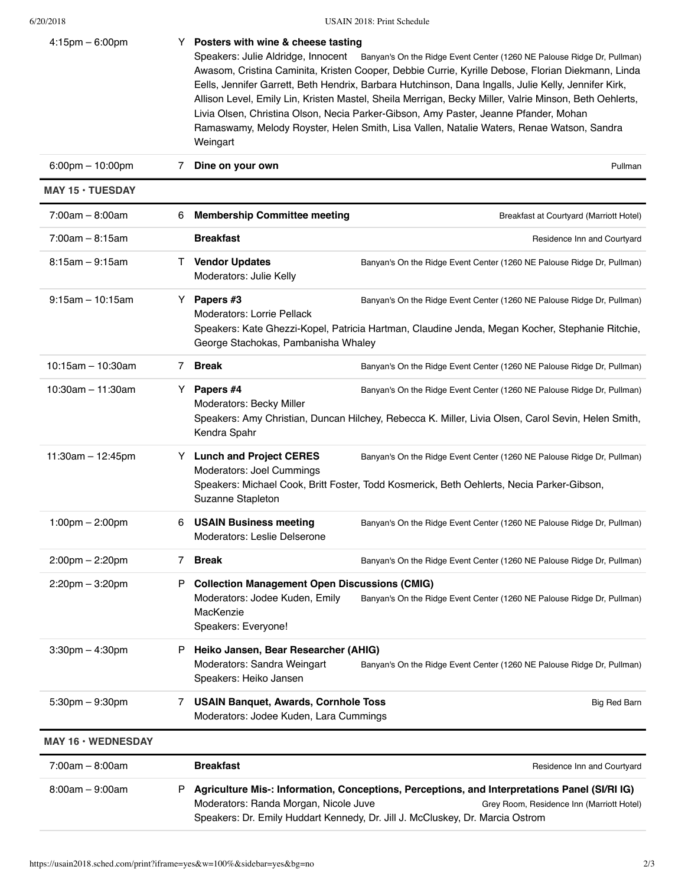6/20/2018 USAIN 2018: Print Schedule

| $4:15$ pm $-6:00$ pm               |              | Y Posters with wine & cheese tasting<br>Speakers: Julie Aldridge, Innocent Banyan's On the Ridge Event Center (1260 NE Palouse Ridge Dr, Pullman)<br>Awasom, Cristina Caminita, Kristen Cooper, Debbie Currie, Kyrille Debose, Florian Diekmann, Linda<br>Eells, Jennifer Garrett, Beth Hendrix, Barbara Hutchinson, Dana Ingalls, Julie Kelly, Jennifer Kirk,<br>Allison Level, Emily Lin, Kristen Mastel, Sheila Merrigan, Becky Miller, Valrie Minson, Beth Oehlerts,<br>Livia Olsen, Christina Olson, Necia Parker-Gibson, Amy Paster, Jeanne Pfander, Mohan<br>Ramaswamy, Melody Royster, Helen Smith, Lisa Vallen, Natalie Waters, Renae Watson, Sandra<br>Weingart |                                                                                                                                                                              |  |
|------------------------------------|--------------|---------------------------------------------------------------------------------------------------------------------------------------------------------------------------------------------------------------------------------------------------------------------------------------------------------------------------------------------------------------------------------------------------------------------------------------------------------------------------------------------------------------------------------------------------------------------------------------------------------------------------------------------------------------------------|------------------------------------------------------------------------------------------------------------------------------------------------------------------------------|--|
| $6:00 \text{pm} - 10:00 \text{pm}$ | 7            | Dine on your own                                                                                                                                                                                                                                                                                                                                                                                                                                                                                                                                                                                                                                                          | Pullman                                                                                                                                                                      |  |
| <b>MAY 15 · TUESDAY</b>            |              |                                                                                                                                                                                                                                                                                                                                                                                                                                                                                                                                                                                                                                                                           |                                                                                                                                                                              |  |
| $7:00am - 8:00am$                  | 6            | <b>Membership Committee meeting</b>                                                                                                                                                                                                                                                                                                                                                                                                                                                                                                                                                                                                                                       | Breakfast at Courtyard (Marriott Hotel)                                                                                                                                      |  |
| $7:00am - 8:15am$                  |              | <b>Breakfast</b>                                                                                                                                                                                                                                                                                                                                                                                                                                                                                                                                                                                                                                                          | Residence Inn and Courtyard                                                                                                                                                  |  |
| $8:15am - 9:15am$                  | $\mathbf{L}$ | <b>Vendor Updates</b><br>Moderators: Julie Kelly                                                                                                                                                                                                                                                                                                                                                                                                                                                                                                                                                                                                                          | Banyan's On the Ridge Event Center (1260 NE Palouse Ridge Dr, Pullman)                                                                                                       |  |
| $9:15am - 10:15am$                 | Y.           | Papers #3<br>Banyan's On the Ridge Event Center (1260 NE Palouse Ridge Dr, Pullman)<br><b>Moderators: Lorrie Pellack</b><br>Speakers: Kate Ghezzi-Kopel, Patricia Hartman, Claudine Jenda, Megan Kocher, Stephanie Ritchie,<br>George Stachokas, Pambanisha Whaley                                                                                                                                                                                                                                                                                                                                                                                                        |                                                                                                                                                                              |  |
| $10:15am - 10:30am$                | 7            | <b>Break</b>                                                                                                                                                                                                                                                                                                                                                                                                                                                                                                                                                                                                                                                              | Banyan's On the Ridge Event Center (1260 NE Palouse Ridge Dr, Pullman)                                                                                                       |  |
| $10:30$ am $-11:30$ am             | Y.           | Papers #4<br>Moderators: Becky Miller<br>Kendra Spahr                                                                                                                                                                                                                                                                                                                                                                                                                                                                                                                                                                                                                     | Banyan's On the Ridge Event Center (1260 NE Palouse Ridge Dr, Pullman)<br>Speakers: Amy Christian, Duncan Hilchey, Rebecca K. Miller, Livia Olsen, Carol Sevin, Helen Smith, |  |
| 11:30am $-$ 12:45pm                | Y            | <b>Lunch and Project CERES</b><br>Moderators: Joel Cummings<br>Suzanne Stapleton                                                                                                                                                                                                                                                                                                                                                                                                                                                                                                                                                                                          | Banyan's On the Ridge Event Center (1260 NE Palouse Ridge Dr, Pullman)<br>Speakers: Michael Cook, Britt Foster, Todd Kosmerick, Beth Oehlerts, Necia Parker-Gibson,          |  |
| $1:00 \text{pm} - 2:00 \text{pm}$  | 6            | <b>USAIN Business meeting</b><br>Moderators: Leslie Delserone                                                                                                                                                                                                                                                                                                                                                                                                                                                                                                                                                                                                             | Banyan's On the Ridge Event Center (1260 NE Palouse Ridge Dr, Pullman)                                                                                                       |  |
| $2:00 \text{pm} - 2:20 \text{pm}$  | 7            | <b>Break</b>                                                                                                                                                                                                                                                                                                                                                                                                                                                                                                                                                                                                                                                              | Banyan's On the Ridge Event Center (1260 NE Palouse Ridge Dr, Pullman)                                                                                                       |  |
| $2:20$ pm $-3:20$ pm               | P            | <b>Collection Management Open Discussions (CMIG)</b><br>Moderators: Jodee Kuden, Emily<br>Banyan's On the Ridge Event Center (1260 NE Palouse Ridge Dr, Pullman)<br>MacKenzie<br>Speakers: Everyone!                                                                                                                                                                                                                                                                                                                                                                                                                                                                      |                                                                                                                                                                              |  |
| $3:30$ pm $-4:30$ pm               | P            | Heiko Jansen, Bear Researcher (AHIG)<br>Moderators: Sandra Weingart<br>Banyan's On the Ridge Event Center (1260 NE Palouse Ridge Dr, Pullman)<br>Speakers: Heiko Jansen                                                                                                                                                                                                                                                                                                                                                                                                                                                                                                   |                                                                                                                                                                              |  |
| $5:30 \text{pm} - 9:30 \text{pm}$  | 7            | <b>USAIN Banquet, Awards, Cornhole Toss</b><br>Moderators: Jodee Kuden, Lara Cummings                                                                                                                                                                                                                                                                                                                                                                                                                                                                                                                                                                                     | <b>Big Red Barn</b>                                                                                                                                                          |  |
| MAY 16 . WEDNESDAY                 |              |                                                                                                                                                                                                                                                                                                                                                                                                                                                                                                                                                                                                                                                                           |                                                                                                                                                                              |  |
| $7:00am - 8:00am$                  |              | <b>Breakfast</b>                                                                                                                                                                                                                                                                                                                                                                                                                                                                                                                                                                                                                                                          | Residence Inn and Courtyard                                                                                                                                                  |  |
| $8:00am - 9:00am$                  | P            | Agriculture Mis-: Information, Conceptions, Perceptions, and Interpretations Panel (SI/RI IG)<br>Moderators: Randa Morgan, Nicole Juve<br>Grey Room, Residence Inn (Marriott Hotel)<br>Speakers: Dr. Emily Huddart Kennedy, Dr. Jill J. McCluskey, Dr. Marcia Ostrom                                                                                                                                                                                                                                                                                                                                                                                                      |                                                                                                                                                                              |  |